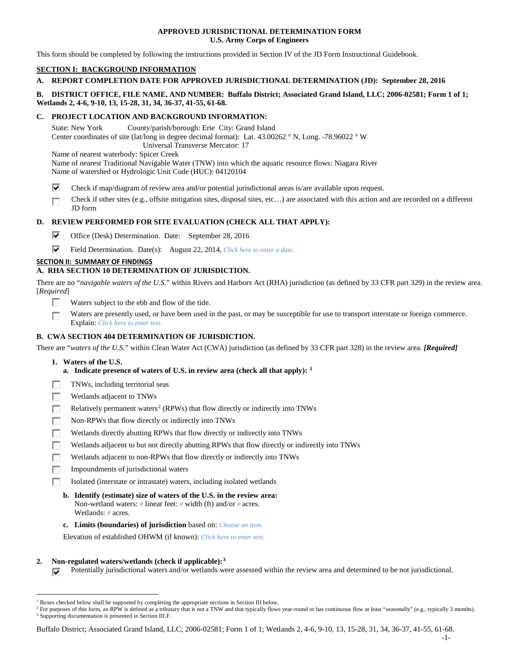### **APPROVED JURISDICTIONAL DETERMINATION FORM U.S. Army Corps of Engineers**

This form should be completed by following the instructions provided in Section IV of the JD Form Instructional Guidebook.

# **SECTION I: BACKGROUND INFORMATION**

## **A. REPORT COMPLETION DATE FOR APPROVED JURISDICTIONAL DETERMINATION (JD): September 28, 2016**

### **B. DISTRICT OFFICE, FILE NAME, AND NUMBER: Buffalo District; Associated Grand Island, LLC; 2006-02581; Form 1 of 1; Wetlands 2, 4-6, 9-10, 13, 15-28, 31, 34, 36-37, 41-55, 61-68.**

#### **C. PROJECT LOCATION AND BACKGROUND INFORMATION:**

State: New York County/parish/borough: Erie City: Grand Island Center coordinates of site (lat/long in degree decimal format): Lat. 43.00262 ° N, Long. -78.96022 ° W Universal Transverse Mercator: 17 Name of nearest waterbody: Spicer Creek

Name of nearest Traditional Navigable Water (TNW) into which the aquatic resource flows: Niagara River Name of watershed or Hydrologic Unit Code (HUC): 04120104

- ⊽ Check if map/diagram of review area and/or potential jurisdictional areas is/are available upon request.
- Check if other sites (e.g., offsite mitigation sites, disposal sites, etc…) are associated with this action and are recorded on a different Г JD form

# **D. REVIEW PERFORMED FOR SITE EVALUATION (CHECK ALL THAT APPLY):**

- ⊽ Office (Desk) Determination. Date: September 28, 2016
- ⊽ Field Determination. Date(s): August 22, 2014, *Click here to enter a date.*

# **SECTION II: SUMMARY OF FINDINGS**

# **A. RHA SECTION 10 DETERMINATION OF JURISDICTION.**

There are no "*navigable waters of the U.S.*" within Rivers and Harbors Act (RHA) jurisdiction (as defined by 33 CFR part 329) in the review area. [*Required*]

- $\overline{\phantom{a}}$ Waters subject to the ebb and flow of the tide.
- П Waters are presently used, or have been used in the past, or may be susceptible for use to transport interstate or foreign commerce. Explain: *Click here to enter text.*

## **B. CWA SECTION 404 DETERMINATION OF JURISDICTION.**

There are "*waters of the U.S.*" within Clean Water Act (CWA) jurisdiction (as defined by 33 CFR part 328) in the review area. *[Required]*

- **1. Waters of the U.S.**
	- **a. Indicate presence of waters of U.S. in review area (check all that apply): [1](#page-0-0)**
- п TNWs, including territorial seas
- г Wetlands adjacent to TNWs
- п Relatively permanent waters<sup>[2](#page-0-1)</sup> (RPWs) that flow directly or indirectly into TNWs
- г Non-RPWs that flow directly or indirectly into TNWs
- Wetlands directly abutting RPWs that flow directly or indirectly into TNWs
- п Wetlands adjacent to but not directly abutting RPWs that flow directly or indirectly into TNWs
- п Wetlands adjacent to non-RPWs that flow directly or indirectly into TNWs
- Impoundments of jurisdictional waters Е
- Isolated (interstate or intrastate) waters, including isolated wetlands
	- **b. Identify (estimate) size of waters of the U.S. in the review area:** Non-wetland waters: *#* linear feet: *#* width (ft) and/or *#* acres. Wetlands: *#* acres.
	- **c. Limits (boundaries) of jurisdiction** based on: *Choose an item.*

Elevation of established OHWM (if known): *Click here to enter text.*

#### **2. Non-regulated waters/wetlands (check if applicable):[3](#page-0-2)**

Potentially jurisdictional waters and/or wetlands were assessed within the review area and determined to be not jurisdictional. ⊽

<span id="page-0-0"></span> <sup>1</sup> Boxes checked below shall be supported by completing the appropriate sections in Section III below.

<span id="page-0-2"></span><span id="page-0-1"></span><sup>&</sup>lt;sup>2</sup> For purposes of this form, an RPW is defined as a tributary that is not a TNW and that typically flows year-round or has continuous flow at least "seasonally" (e.g., typically 3 months). <sup>3</sup> Supporting documentation is presented in Section III.F.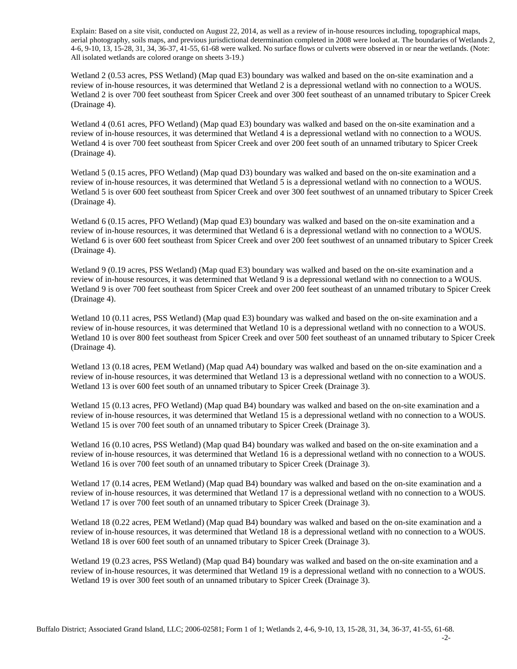Explain: Based on a site visit, conducted on August 22, 2014, as well as a review of in-house resources including, topographical maps, aerial photography, soils maps, and previous jurisdictional determination completed in 2008 were looked at. The boundaries of Wetlands 2, 4-6, 9-10, 13, 15-28, 31, 34, 36-37, 41-55, 61-68 were walked. No surface flows or culverts were observed in or near the wetlands. (Note: All isolated wetlands are colored orange on sheets 3-19.)

Wetland 2 (0.53 acres, PSS Wetland) (Map quad E3) boundary was walked and based on the on-site examination and a review of in-house resources, it was determined that Wetland 2 is a depressional wetland with no connection to a WOUS. Wetland 2 is over 700 feet southeast from Spicer Creek and over 300 feet southeast of an unnamed tributary to Spicer Creek (Drainage 4).

Wetland 4 (0.61 acres, PFO Wetland) (Map quad E3) boundary was walked and based on the on-site examination and a review of in-house resources, it was determined that Wetland 4 is a depressional wetland with no connection to a WOUS. Wetland 4 is over 700 feet southeast from Spicer Creek and over 200 feet south of an unnamed tributary to Spicer Creek (Drainage 4).

Wetland 5 (0.15 acres, PFO Wetland) (Map quad D3) boundary was walked and based on the on-site examination and a review of in-house resources, it was determined that Wetland 5 is a depressional wetland with no connection to a WOUS. Wetland 5 is over 600 feet southeast from Spicer Creek and over 300 feet southwest of an unnamed tributary to Spicer Creek (Drainage 4).

Wetland 6 (0.15 acres, PFO Wetland) (Map quad E3) boundary was walked and based on the on-site examination and a review of in-house resources, it was determined that Wetland 6 is a depressional wetland with no connection to a WOUS. Wetland 6 is over 600 feet southeast from Spicer Creek and over 200 feet southwest of an unnamed tributary to Spicer Creek (Drainage 4).

Wetland 9 (0.19 acres, PSS Wetland) (Map quad E3) boundary was walked and based on the on-site examination and a review of in-house resources, it was determined that Wetland 9 is a depressional wetland with no connection to a WOUS. Wetland 9 is over 700 feet southeast from Spicer Creek and over 200 feet southeast of an unnamed tributary to Spicer Creek (Drainage 4).

Wetland 10 (0.11 acres, PSS Wetland) (Map quad E3) boundary was walked and based on the on-site examination and a review of in-house resources, it was determined that Wetland 10 is a depressional wetland with no connection to a WOUS. Wetland 10 is over 800 feet southeast from Spicer Creek and over 500 feet southeast of an unnamed tributary to Spicer Creek (Drainage 4).

Wetland 13 (0.18 acres, PEM Wetland) (Map quad A4) boundary was walked and based on the on-site examination and a review of in-house resources, it was determined that Wetland 13 is a depressional wetland with no connection to a WOUS. Wetland 13 is over 600 feet south of an unnamed tributary to Spicer Creek (Drainage 3).

Wetland 15 (0.13 acres, PFO Wetland) (Map quad B4) boundary was walked and based on the on-site examination and a review of in-house resources, it was determined that Wetland 15 is a depressional wetland with no connection to a WOUS. Wetland 15 is over 700 feet south of an unnamed tributary to Spicer Creek (Drainage 3).

Wetland 16 (0.10 acres, PSS Wetland) (Map quad B4) boundary was walked and based on the on-site examination and a review of in-house resources, it was determined that Wetland 16 is a depressional wetland with no connection to a WOUS. Wetland 16 is over 700 feet south of an unnamed tributary to Spicer Creek (Drainage 3).

Wetland 17 (0.14 acres, PEM Wetland) (Map quad B4) boundary was walked and based on the on-site examination and a review of in-house resources, it was determined that Wetland 17 is a depressional wetland with no connection to a WOUS. Wetland 17 is over 700 feet south of an unnamed tributary to Spicer Creek (Drainage 3).

Wetland 18 (0.22 acres, PEM Wetland) (Map quad B4) boundary was walked and based on the on-site examination and a review of in-house resources, it was determined that Wetland 18 is a depressional wetland with no connection to a WOUS. Wetland 18 is over 600 feet south of an unnamed tributary to Spicer Creek (Drainage 3).

Wetland 19 (0.23 acres, PSS Wetland) (Map quad B4) boundary was walked and based on the on-site examination and a review of in-house resources, it was determined that Wetland 19 is a depressional wetland with no connection to a WOUS. Wetland 19 is over 300 feet south of an unnamed tributary to Spicer Creek (Drainage 3).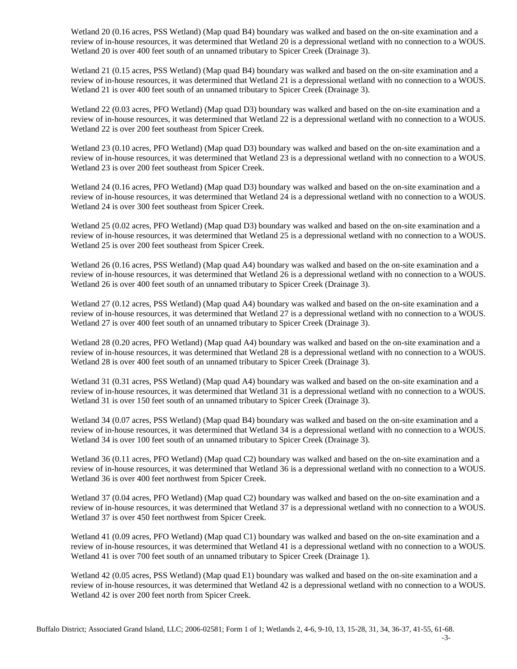Wetland 20 (0.16 acres, PSS Wetland) (Map quad B4) boundary was walked and based on the on-site examination and a review of in-house resources, it was determined that Wetland 20 is a depressional wetland with no connection to a WOUS. Wetland 20 is over 400 feet south of an unnamed tributary to Spicer Creek (Drainage 3).

Wetland 21 (0.15 acres, PSS Wetland) (Map quad B4) boundary was walked and based on the on-site examination and a review of in-house resources, it was determined that Wetland 21 is a depressional wetland with no connection to a WOUS. Wetland 21 is over 400 feet south of an unnamed tributary to Spicer Creek (Drainage 3).

Wetland 22 (0.03 acres, PFO Wetland) (Map quad D3) boundary was walked and based on the on-site examination and a review of in-house resources, it was determined that Wetland 22 is a depressional wetland with no connection to a WOUS. Wetland 22 is over 200 feet southeast from Spicer Creek.

Wetland 23 (0.10 acres, PFO Wetland) (Map quad D3) boundary was walked and based on the on-site examination and a review of in-house resources, it was determined that Wetland 23 is a depressional wetland with no connection to a WOUS. Wetland 23 is over 200 feet southeast from Spicer Creek.

Wetland 24 (0.16 acres, PFO Wetland) (Map quad D3) boundary was walked and based on the on-site examination and a review of in-house resources, it was determined that Wetland 24 is a depressional wetland with no connection to a WOUS. Wetland 24 is over 300 feet southeast from Spicer Creek.

Wetland 25 (0.02 acres, PFO Wetland) (Map quad D3) boundary was walked and based on the on-site examination and a review of in-house resources, it was determined that Wetland 25 is a depressional wetland with no connection to a WOUS. Wetland 25 is over 200 feet southeast from Spicer Creek.

Wetland 26 (0.16 acres, PSS Wetland) (Map quad A4) boundary was walked and based on the on-site examination and a review of in-house resources, it was determined that Wetland 26 is a depressional wetland with no connection to a WOUS. Wetland 26 is over 400 feet south of an unnamed tributary to Spicer Creek (Drainage 3).

Wetland 27 (0.12 acres, PSS Wetland) (Map quad A4) boundary was walked and based on the on-site examination and a review of in-house resources, it was determined that Wetland 27 is a depressional wetland with no connection to a WOUS. Wetland 27 is over 400 feet south of an unnamed tributary to Spicer Creek (Drainage 3).

Wetland 28 (0.20 acres, PFO Wetland) (Map quad A4) boundary was walked and based on the on-site examination and a review of in-house resources, it was determined that Wetland 28 is a depressional wetland with no connection to a WOUS. Wetland 28 is over 400 feet south of an unnamed tributary to Spicer Creek (Drainage 3).

Wetland 31 (0.31 acres, PSS Wetland) (Map quad A4) boundary was walked and based on the on-site examination and a review of in-house resources, it was determined that Wetland 31 is a depressional wetland with no connection to a WOUS. Wetland 31 is over 150 feet south of an unnamed tributary to Spicer Creek (Drainage 3).

Wetland 34 (0.07 acres, PSS Wetland) (Map quad B4) boundary was walked and based on the on-site examination and a review of in-house resources, it was determined that Wetland 34 is a depressional wetland with no connection to a WOUS. Wetland 34 is over 100 feet south of an unnamed tributary to Spicer Creek (Drainage 3).

Wetland 36 (0.11 acres, PFO Wetland) (Map quad C2) boundary was walked and based on the on-site examination and a review of in-house resources, it was determined that Wetland 36 is a depressional wetland with no connection to a WOUS. Wetland 36 is over 400 feet northwest from Spicer Creek.

Wetland 37 (0.04 acres, PFO Wetland) (Map quad C2) boundary was walked and based on the on-site examination and a review of in-house resources, it was determined that Wetland 37 is a depressional wetland with no connection to a WOUS. Wetland 37 is over 450 feet northwest from Spicer Creek.

Wetland 41 (0.09 acres, PFO Wetland) (Map quad C1) boundary was walked and based on the on-site examination and a review of in-house resources, it was determined that Wetland 41 is a depressional wetland with no connection to a WOUS. Wetland 41 is over 700 feet south of an unnamed tributary to Spicer Creek (Drainage 1).

Wetland 42 (0.05 acres, PSS Wetland) (Map quad E1) boundary was walked and based on the on-site examination and a review of in-house resources, it was determined that Wetland 42 is a depressional wetland with no connection to a WOUS. Wetland 42 is over 200 feet north from Spicer Creek.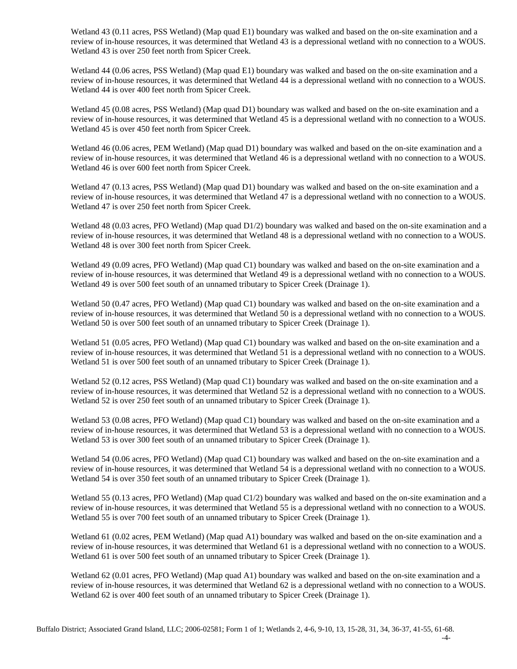Wetland 43 (0.11 acres, PSS Wetland) (Map quad E1) boundary was walked and based on the on-site examination and a review of in-house resources, it was determined that Wetland 43 is a depressional wetland with no connection to a WOUS. Wetland 43 is over 250 feet north from Spicer Creek.

Wetland 44 (0.06 acres, PSS Wetland) (Map quad E1) boundary was walked and based on the on-site examination and a review of in-house resources, it was determined that Wetland 44 is a depressional wetland with no connection to a WOUS. Wetland 44 is over 400 feet north from Spicer Creek.

Wetland 45 (0.08 acres, PSS Wetland) (Map quad D1) boundary was walked and based on the on-site examination and a review of in-house resources, it was determined that Wetland 45 is a depressional wetland with no connection to a WOUS. Wetland 45 is over 450 feet north from Spicer Creek.

Wetland 46 (0.06 acres, PEM Wetland) (Map quad D1) boundary was walked and based on the on-site examination and a review of in-house resources, it was determined that Wetland 46 is a depressional wetland with no connection to a WOUS. Wetland 46 is over 600 feet north from Spicer Creek.

Wetland 47 (0.13 acres, PSS Wetland) (Map quad D1) boundary was walked and based on the on-site examination and a review of in-house resources, it was determined that Wetland 47 is a depressional wetland with no connection to a WOUS. Wetland 47 is over 250 feet north from Spicer Creek.

Wetland 48 (0.03 acres, PFO Wetland) (Map quad D1/2) boundary was walked and based on the on-site examination and a review of in-house resources, it was determined that Wetland 48 is a depressional wetland with no connection to a WOUS. Wetland 48 is over 300 feet north from Spicer Creek.

Wetland 49 (0.09 acres, PFO Wetland) (Map quad C1) boundary was walked and based on the on-site examination and a review of in-house resources, it was determined that Wetland 49 is a depressional wetland with no connection to a WOUS. Wetland 49 is over 500 feet south of an unnamed tributary to Spicer Creek (Drainage 1).

Wetland 50 (0.47 acres, PFO Wetland) (Map quad C1) boundary was walked and based on the on-site examination and a review of in-house resources, it was determined that Wetland 50 is a depressional wetland with no connection to a WOUS. Wetland 50 is over 500 feet south of an unnamed tributary to Spicer Creek (Drainage 1).

Wetland 51 (0.05 acres, PFO Wetland) (Map quad C1) boundary was walked and based on the on-site examination and a review of in-house resources, it was determined that Wetland 51 is a depressional wetland with no connection to a WOUS. Wetland 51 is over 500 feet south of an unnamed tributary to Spicer Creek (Drainage 1).

Wetland 52 (0.12 acres, PSS Wetland) (Map quad C1) boundary was walked and based on the on-site examination and a review of in-house resources, it was determined that Wetland 52 is a depressional wetland with no connection to a WOUS. Wetland 52 is over 250 feet south of an unnamed tributary to Spicer Creek (Drainage 1).

Wetland 53 (0.08 acres, PFO Wetland) (Map quad C1) boundary was walked and based on the on-site examination and a review of in-house resources, it was determined that Wetland 53 is a depressional wetland with no connection to a WOUS. Wetland 53 is over 300 feet south of an unnamed tributary to Spicer Creek (Drainage 1).

Wetland 54 (0.06 acres, PFO Wetland) (Map quad C1) boundary was walked and based on the on-site examination and a review of in-house resources, it was determined that Wetland 54 is a depressional wetland with no connection to a WOUS. Wetland 54 is over 350 feet south of an unnamed tributary to Spicer Creek (Drainage 1).

Wetland 55 (0.13 acres, PFO Wetland) (Map quad C1/2) boundary was walked and based on the on-site examination and a review of in-house resources, it was determined that Wetland 55 is a depressional wetland with no connection to a WOUS. Wetland 55 is over 700 feet south of an unnamed tributary to Spicer Creek (Drainage 1).

Wetland 61 (0.02 acres, PEM Wetland) (Map quad A1) boundary was walked and based on the on-site examination and a review of in-house resources, it was determined that Wetland 61 is a depressional wetland with no connection to a WOUS. Wetland 61 is over 500 feet south of an unnamed tributary to Spicer Creek (Drainage 1).

Wetland 62 (0.01 acres, PFO Wetland) (Map quad A1) boundary was walked and based on the on-site examination and a review of in-house resources, it was determined that Wetland 62 is a depressional wetland with no connection to a WOUS. Wetland 62 is over 400 feet south of an unnamed tributary to Spicer Creek (Drainage 1).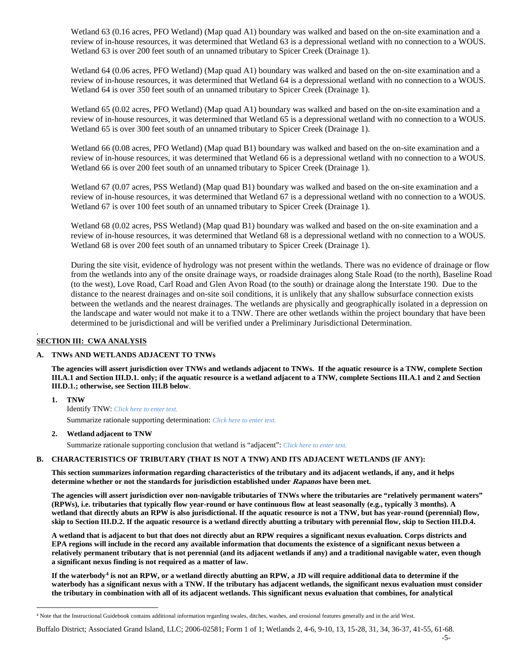Wetland 63 (0.16 acres, PFO Wetland) (Map quad A1) boundary was walked and based on the on-site examination and a review of in-house resources, it was determined that Wetland 63 is a depressional wetland with no connection to a WOUS. Wetland 63 is over 200 feet south of an unnamed tributary to Spicer Creek (Drainage 1).

Wetland 64 (0.06 acres, PFO Wetland) (Map quad A1) boundary was walked and based on the on-site examination and a review of in-house resources, it was determined that Wetland 64 is a depressional wetland with no connection to a WOUS. Wetland 64 is over 350 feet south of an unnamed tributary to Spicer Creek (Drainage 1).

Wetland 65 (0.02 acres, PFO Wetland) (Map quad A1) boundary was walked and based on the on-site examination and a review of in-house resources, it was determined that Wetland 65 is a depressional wetland with no connection to a WOUS. Wetland 65 is over 300 feet south of an unnamed tributary to Spicer Creek (Drainage 1).

Wetland 66 (0.08 acres, PFO Wetland) (Map quad B1) boundary was walked and based on the on-site examination and a review of in-house resources, it was determined that Wetland 66 is a depressional wetland with no connection to a WOUS. Wetland 66 is over 200 feet south of an unnamed tributary to Spicer Creek (Drainage 1).

Wetland 67 (0.07 acres, PSS Wetland) (Map quad B1) boundary was walked and based on the on-site examination and a review of in-house resources, it was determined that Wetland 67 is a depressional wetland with no connection to a WOUS. Wetland 67 is over 100 feet south of an unnamed tributary to Spicer Creek (Drainage 1).

Wetland 68 (0.02 acres, PSS Wetland) (Map quad B1) boundary was walked and based on the on-site examination and a review of in-house resources, it was determined that Wetland 68 is a depressional wetland with no connection to a WOUS. Wetland 68 is over 200 feet south of an unnamed tributary to Spicer Creek (Drainage 1).

During the site visit, evidence of hydrology was not present within the wetlands. There was no evidence of drainage or flow from the wetlands into any of the onsite drainage ways, or roadside drainages along Stale Road (to the north), Baseline Road (to the west), Love Road, Carl Road and Glen Avon Road (to the south) or drainage along the Interstate 190. Due to the distance to the nearest drainages and on-site soil conditions, it is unlikely that any shallow subsurface connection exists between the wetlands and the nearest drainages. The wetlands are physically and geographically isolated in a depression on the landscape and water would not make it to a TNW. There are other wetlands within the project boundary that have been determined to be jurisdictional and will be verified under a Preliminary Jurisdictional Determination.

## **SECTION III: CWA ANALYSIS**

.

## **A. TNWs AND WETLANDS ADJACENT TO TNWs**

**The agencies will assert jurisdiction over TNWs and wetlands adjacent to TNWs. If the aquatic resource is a TNW, complete Section III.A.1 and Section III.D.1. only; if the aquatic resource is a wetland adjacent to a TNW, complete Sections III.A.1 and 2 and Section III.D.1.; otherwise, see Section III.B below**.

**1. TNW**  Identify TNW: *Click here to enter text.* Summarize rationale supporting determination: *Click here to enter text.*

## **2. Wetland adjacent to TNW**

Summarize rationale supporting conclusion that wetland is "adjacent": *Click here to enter text.*

## **B. CHARACTERISTICS OF TRIBUTARY (THAT IS NOT A TNW) AND ITS ADJACENT WETLANDS (IF ANY):**

**This section summarizes information regarding characteristics of the tributary and its adjacent wetlands, if any, and it helps determine whether or not the standards for jurisdiction established under Rapanos have been met.** 

**The agencies will assert jurisdiction over non-navigable tributaries of TNWs where the tributaries are "relatively permanent waters" (RPWs), i.e. tributaries that typically flow year-round or have continuous flow at least seasonally (e.g., typically 3 months). A wetland that directly abuts an RPW is also jurisdictional. If the aquatic resource is not a TNW, but has year-round (perennial) flow, skip to Section III.D.2. If the aquatic resource is a wetland directly abutting a tributary with perennial flow, skip to Section III.D.4.**

**A wetland that is adjacent to but that does not directly abut an RPW requires a significant nexus evaluation. Corps districts and EPA regions will include in the record any available information that documents the existence of a significant nexus between a relatively permanent tributary that is not perennial (and its adjacent wetlands if any) and a traditional navigable water, even though a significant nexus finding is not required as a matter of law.**

**If the waterbody[4](#page-4-0) is not an RPW, or a wetland directly abutting an RPW, a JD will require additional data to determine if the waterbody has a significant nexus with a TNW. If the tributary has adjacent wetlands, the significant nexus evaluation must consider the tributary in combination with all of its adjacent wetlands. This significant nexus evaluation that combines, for analytical** 

<span id="page-4-0"></span> <sup>4</sup> Note that the Instructional Guidebook contains additional information regarding swales, ditches, washes, and erosional features generally and in the arid West.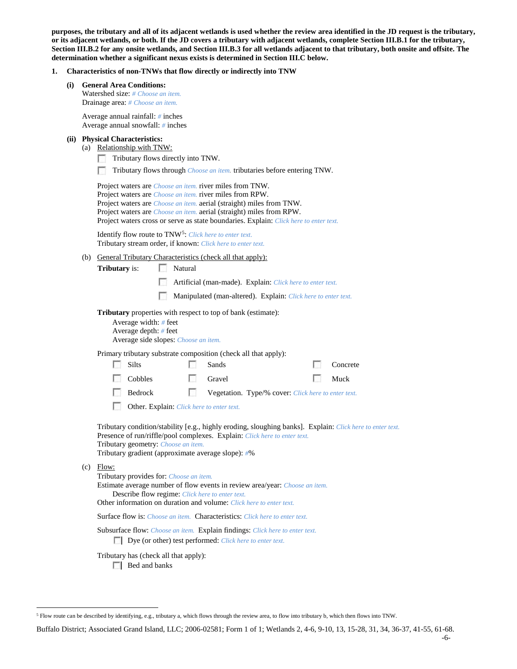**purposes, the tributary and all of its adjacent wetlands is used whether the review area identified in the JD request is the tributary, or its adjacent wetlands, or both. If the JD covers a tributary with adjacent wetlands, complete Section III.B.1 for the tributary, Section III.B.2 for any onsite wetlands, and Section III.B.3 for all wetlands adjacent to that tributary, both onsite and offsite. The determination whether a significant nexus exists is determined in Section III.C below.**

#### **1. Characteristics of non-TNWs that flow directly or indirectly into TNW**

| (i) General Area Conditions: |
|------------------------------|
|                              |

Watershed size: *# Choose an item.* Drainage area: *# Choose an item.*

Average annual rainfall: *#* inches Average annual snowfall: *#* inches

- **(ii) Physical Characteristics:**
	- (a) Relationship with TNW:
		- п Tributary flows directly into TNW.
		- п Tributary flows through *Choose an item.* tributaries before entering TNW.

Project waters are *Choose an item.* river miles from TNW. Project waters are *Choose an item.* river miles from RPW. Project waters are *Choose an item.* aerial (straight) miles from TNW. Project waters are *Choose an item.* aerial (straight) miles from RPW. Project waters cross or serve as state boundaries. Explain: *Click here to enter text.*

Identify flow route to TNW[5:](#page-5-0) *Click here to enter text.* Tributary stream order, if known: *Click here to enter text.*

(b) General Tributary Characteristics (check all that apply):

**Tributary** is: Natural

- Artificial (man-made). Explain: *Click here to enter text.*
- Manipulated (man-altered). Explain: *Click here to enter text.*

**Tributary** properties with respect to top of bank (estimate):

| Average width: $#$ feet              |
|--------------------------------------|
| Average depth: $#$ feet              |
| Average side slopes: Choose an item. |

Primary tributary substrate composition (check all that apply):

| $\blacksquare$ Silts | $\Box$ Sands                                                    | <b>Concrete</b> |
|----------------------|-----------------------------------------------------------------|-----------------|
| $\Box$ Cobbles       | $\Box$ Gravel                                                   | $\Box$ Muck     |
| <b>Bedrock</b>       | <b>Solution.</b> Type/% cover: <i>Click here to enter text.</i> |                 |

Other. Explain: *Click here to enter text.*

Tributary condition/stability [e.g., highly eroding, sloughing banks]. Explain: *Click here to enter text.* Presence of run/riffle/pool complexes. Explain: *Click here to enter text.* Tributary geometry: *Choose an item.*

Tributary gradient (approximate average slope): *#*%

 $(c)$  Flow:

Tributary provides for: *Choose an item.*

Estimate average number of flow events in review area/year: *Choose an item.* Describe flow regime: *Click here to enter text.*

Other information on duration and volume: *Click here to enter text.*

Surface flow is: *Choose an item.* Characteristics: *Click here to enter text.*

Subsurface flow: *Choose an item.* Explain findings: *Click here to enter text.* Dye (or other) test performed: *Click here to enter text.*

Tributary has (check all that apply):

**Bed** and banks

<span id="page-5-0"></span> <sup>5</sup> Flow route can be described by identifying, e.g., tributary a, which flows through the review area, to flow into tributary b, which then flows into TNW.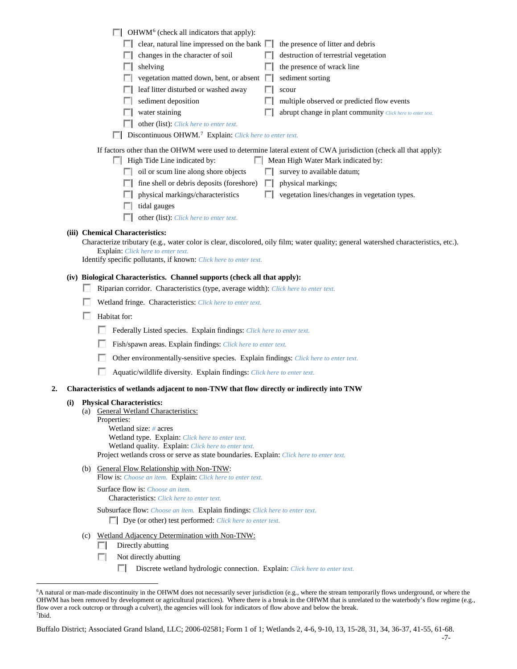|    |                    | $\Box$ OHWM <sup>6</sup> (check all indicators that apply):                                                                                                                                                                                                  |
|----|--------------------|--------------------------------------------------------------------------------------------------------------------------------------------------------------------------------------------------------------------------------------------------------------|
|    |                    | clear, natural line impressed on the bank $\Box$<br>the presence of litter and debris                                                                                                                                                                        |
|    |                    | changes in the character of soil<br>destruction of terrestrial vegetation                                                                                                                                                                                    |
|    |                    | shelving<br>the presence of wrack line                                                                                                                                                                                                                       |
|    |                    | vegetation matted down, bent, or absent $\Box$<br>sediment sorting                                                                                                                                                                                           |
|    |                    | leaf litter disturbed or washed away<br>scour                                                                                                                                                                                                                |
|    |                    | sediment deposition<br>multiple observed or predicted flow events                                                                                                                                                                                            |
|    |                    | water staining<br>abrupt change in plant community Click here to enter text.                                                                                                                                                                                 |
|    |                    | other (list): Click here to enter text.                                                                                                                                                                                                                      |
|    |                    | Discontinuous OHWM. <sup>7</sup> Explain: Click here to enter text.                                                                                                                                                                                          |
|    |                    | If factors other than the OHWM were used to determine lateral extent of CWA jurisdiction (check all that apply):<br>High Tide Line indicated by:<br>Mean High Water Mark indicated by:<br>oil or scum line along shore objects<br>survey to available datum; |
|    |                    | fine shell or debris deposits (foreshore)<br>physical markings;<br>L.                                                                                                                                                                                        |
|    |                    | physical markings/characteristics<br>vegetation lines/changes in vegetation types.                                                                                                                                                                           |
|    |                    | tidal gauges                                                                                                                                                                                                                                                 |
|    |                    | other (list): Click here to enter text.                                                                                                                                                                                                                      |
|    |                    | (iii) Chemical Characteristics:                                                                                                                                                                                                                              |
|    |                    | Characterize tributary (e.g., water color is clear, discolored, oily film; water quality; general watershed characteristics, etc.).<br><b>Explain:</b> Click here to enter text.<br>Identify specific pollutants, if known: Click here to enter text.        |
|    |                    |                                                                                                                                                                                                                                                              |
|    |                    | (iv) Biological Characteristics. Channel supports (check all that apply):                                                                                                                                                                                    |
|    |                    | Riparian corridor. Characteristics (type, average width): Click here to enter text.                                                                                                                                                                          |
|    |                    | Wetland fringe. Characteristics: Click here to enter text.                                                                                                                                                                                                   |
|    | <b>Designation</b> | Habitat for:                                                                                                                                                                                                                                                 |
|    |                    | Federally Listed species. Explain findings: Click here to enter text.                                                                                                                                                                                        |
|    |                    | Fish/spawn areas. Explain findings: Click here to enter text.                                                                                                                                                                                                |
|    |                    | Other environmentally-sensitive species. Explain findings: Click here to enter text.                                                                                                                                                                         |
|    |                    | Aquatic/wildlife diversity. Explain findings: Click here to enter text.                                                                                                                                                                                      |
| 2. |                    | Characteristics of wetlands adjacent to non-TNW that flow directly or indirectly into TNW                                                                                                                                                                    |
|    |                    | (i) Physical Characteristics:                                                                                                                                                                                                                                |
|    |                    | (a) General Wetland Characteristics:                                                                                                                                                                                                                         |
|    |                    | Properties:<br>Wetland size: $#$ acres                                                                                                                                                                                                                       |
|    |                    | Wetland type. Explain: Click here to enter text.                                                                                                                                                                                                             |
|    |                    | Wetland quality. Explain: Click here to enter text.                                                                                                                                                                                                          |
|    |                    | Project wetlands cross or serve as state boundaries. Explain: Click here to enter text.                                                                                                                                                                      |
|    |                    | (b) General Flow Relationship with Non-TNW:<br>Flow is: Choose an item. Explain: Click here to enter text.                                                                                                                                                   |
|    |                    | Surface flow is: Choose an item.<br><b>Characteristics:</b> Click here to enter text.                                                                                                                                                                        |
|    |                    | Subsurface flow: Choose an item. Explain findings: Click here to enter text.<br>Dye (or other) test performed: Click here to enter text.                                                                                                                     |
|    | (c)                | <b>Wetland Adjacency Determination with Non-TNW:</b>                                                                                                                                                                                                         |
|    |                    | Directly abutting                                                                                                                                                                                                                                            |
|    |                    | Not directly abutting                                                                                                                                                                                                                                        |

 $\overline{\phantom{a}}$ Discrete wetland hydrologic connection. Explain: *Click here to enter text.*

<span id="page-6-1"></span><span id="page-6-0"></span> <sup>6</sup> <sup>6</sup>A natural or man-made discontinuity in the OHWM does not necessarily sever jurisdiction (e.g., where the stream temporarily flows underground, or where the OHWM has been removed by development or agricultural practices). Where there is a break in the OHWM that is unrelated to the waterbody's flow regime (e.g., flow over a rock outcrop or through a culvert), the agencies will look for indicators of flow above and below the break. 7 Ibid.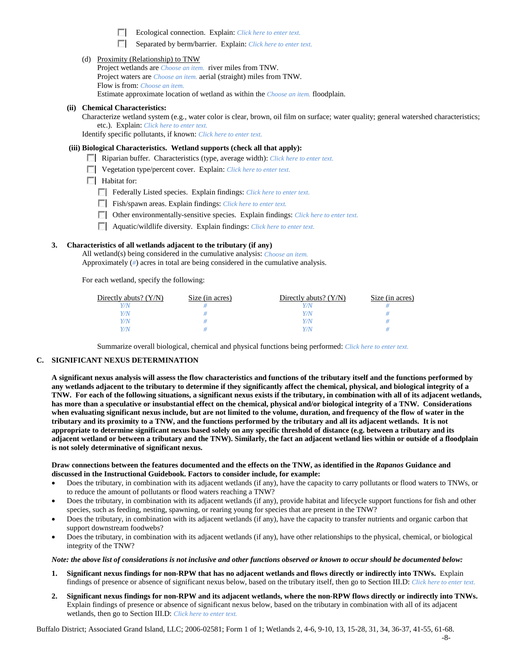Ecological connection. Explain: *Click here to enter text*.

Separated by berm/barrier. Explain: *Click here to enter text.* 

|  | (d) Proximity (Relationship) to TNW |  |
|--|-------------------------------------|--|
|  |                                     |  |

Project wetlands are *Choose an item.* river miles from TNW. Project waters are *Choose an item.* aerial (straight) miles from TNW. Flow is from: *Choose an item.* Estimate approximate location of wetland as within the *Choose an item.* floodplain.

#### **(ii) Chemical Characteristics:**

Characterize wetland system (e.g., water color is clear, brown, oil film on surface; water quality; general watershed characteristics; etc.). Explain: *Click here to enter text.*

Identify specific pollutants, if known: *Click here to enter text.*

#### **(iii) Biological Characteristics. Wetland supports (check all that apply):**

- Riparian buffer. Characteristics (type, average width): *Click here to enter text.*
- Vegetation type/percent cover. Explain: *Click here to enter text.*
- **Habitat for:** 
	- Federally Listed species. Explain findings: *Click here to enter text*.
	- Fish/spawn areas. Explain findings: *Click here to enter text.*
	- Other environmentally-sensitive species. Explain findings: *Click here to enter text.*
	- Aquatic/wildlife diversity. Explain findings: *Click here to enter text.*

### **3. Characteristics of all wetlands adjacent to the tributary (if any)**

All wetland(s) being considered in the cumulative analysis: *Choose an item.* Approximately (*#*) acres in total are being considered in the cumulative analysis.

For each wetland, specify the following:

| Directly abuts? $(Y/N)$ | Size (in acres) | Directly abuts? $(Y/N)$ | Size (in acres) |
|-------------------------|-----------------|-------------------------|-----------------|
|                         |                 |                         |                 |
| Y/N                     |                 | Y / N                   |                 |
| V/N                     |                 | Y / N                   |                 |
| $V/\Lambda$             |                 | 77 N                    |                 |

Summarize overall biological, chemical and physical functions being performed: *Click here to enter text.*

#### **C. SIGNIFICANT NEXUS DETERMINATION**

**A significant nexus analysis will assess the flow characteristics and functions of the tributary itself and the functions performed by any wetlands adjacent to the tributary to determine if they significantly affect the chemical, physical, and biological integrity of a TNW. For each of the following situations, a significant nexus exists if the tributary, in combination with all of its adjacent wetlands, has more than a speculative or insubstantial effect on the chemical, physical and/or biological integrity of a TNW. Considerations when evaluating significant nexus include, but are not limited to the volume, duration, and frequency of the flow of water in the tributary and its proximity to a TNW, and the functions performed by the tributary and all its adjacent wetlands. It is not appropriate to determine significant nexus based solely on any specific threshold of distance (e.g. between a tributary and its adjacent wetland or between a tributary and the TNW). Similarly, the fact an adjacent wetland lies within or outside of a floodplain is not solely determinative of significant nexus.** 

#### **Draw connections between the features documented and the effects on the TNW, as identified in the** *Rapanos* **Guidance and discussed in the Instructional Guidebook. Factors to consider include, for example:**

- Does the tributary, in combination with its adjacent wetlands (if any), have the capacity to carry pollutants or flood waters to TNWs, or to reduce the amount of pollutants or flood waters reaching a TNW?
- Does the tributary, in combination with its adjacent wetlands (if any), provide habitat and lifecycle support functions for fish and other species, such as feeding, nesting, spawning, or rearing young for species that are present in the TNW?
- Does the tributary, in combination with its adjacent wetlands (if any), have the capacity to transfer nutrients and organic carbon that support downstream foodwebs?
- Does the tributary, in combination with its adjacent wetlands (if any), have other relationships to the physical, chemical, or biological integrity of the TNW?

#### *Note: the above list of considerations is not inclusive and other functions observed or known to occur should be documented below:*

- **1. Significant nexus findings for non-RPW that has no adjacent wetlands and flows directly or indirectly into TNWs.** Explain findings of presence or absence of significant nexus below, based on the tributary itself, then go to Section III.D: *Click here to enter text.*
- **2. Significant nexus findings for non-RPW and its adjacent wetlands, where the non-RPW flows directly or indirectly into TNWs.**  Explain findings of presence or absence of significant nexus below, based on the tributary in combination with all of its adjacent wetlands, then go to Section III.D: *Click here to enter text.*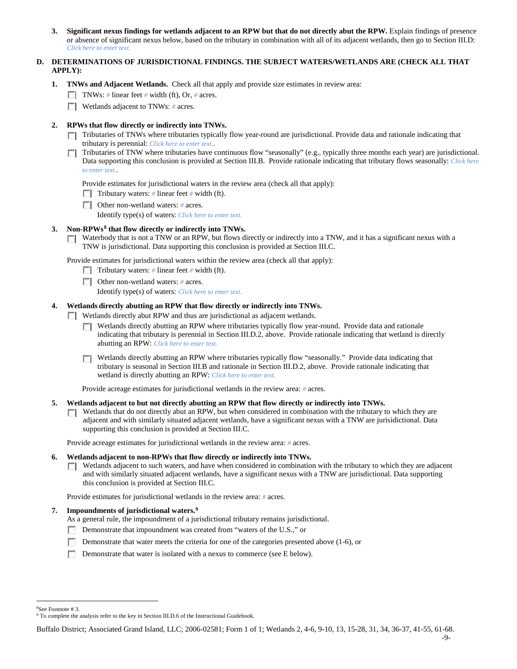**3. Significant nexus findings for wetlands adjacent to an RPW but that do not directly abut the RPW.** Explain findings of presence or absence of significant nexus below, based on the tributary in combination with all of its adjacent wetlands, then go to Section III.D: *Click here to enter text.*

# **D. DETERMINATIONS OF JURISDICTIONAL FINDINGS. THE SUBJECT WATERS/WETLANDS ARE (CHECK ALL THAT APPLY):**

- **1. TNWs and Adjacent Wetlands.** Check all that apply and provide size estimates in review area:
	- TNWs: *#* linear feet *#* width (ft), Or, *#* acres.
	- **Wetlands adjacent to TNWs: # acres.**

## **2. RPWs that flow directly or indirectly into TNWs.**

- Tributaries of TNWs where tributaries typically flow year-round are jurisdictional. Provide data and rationale indicating that tributary is perennial: *Click here to enter text.*.
- Tributaries of TNW where tributaries have continuous flow "seasonally" (e.g., typically three months each year) are jurisdictional. п Data supporting this conclusion is provided at Section III.B. Provide rationale indicating that tributary flows seasonally: *Click here to enter text.*.

Provide estimates for jurisdictional waters in the review area (check all that apply):

Tributary waters: # linear feet # width (ft).

Other non-wetland waters: *#* acres.

Identify type(s) of waters: *Click here to enter text.*

## **3. Non-RPWs[8](#page-8-0) that flow directly or indirectly into TNWs.**

 $\Box$  Waterbody that is not a TNW or an RPW, but flows directly or indirectly into a TNW, and it has a significant nexus with a TNW is jurisdictional. Data supporting this conclusion is provided at Section III.C.

Provide estimates for jurisdictional waters within the review area (check all that apply):

- Tributary waters: # linear feet # width (ft).
- Other non-wetland waters: *#* acres.
	- Identify type(s) of waters: *Click here to enter text.*

## **4. Wetlands directly abutting an RPW that flow directly or indirectly into TNWs.**

- Wetlands directly abut RPW and thus are jurisdictional as adjacent wetlands.
	- Wetlands directly abutting an RPW where tributaries typically flow year-round. Provide data and rationale Г. indicating that tributary is perennial in Section III.D.2, above. Provide rationale indicating that wetland is directly abutting an RPW: *Click here to enter text.*
	- Wetlands directly abutting an RPW where tributaries typically flow "seasonally." Provide data indicating that tributary is seasonal in Section III.B and rationale in Section III.D.2, above. Provide rationale indicating that wetland is directly abutting an RPW: *Click here to enter text.*

Provide acreage estimates for jurisdictional wetlands in the review area: *#* acres.

### **5. Wetlands adjacent to but not directly abutting an RPW that flow directly or indirectly into TNWs.**

Wetlands that do not directly abut an RPW, but when considered in combination with the tributary to which they are  $\sim$ adjacent and with similarly situated adjacent wetlands, have a significant nexus with a TNW are jurisidictional. Data supporting this conclusion is provided at Section III.C.

Provide acreage estimates for jurisdictional wetlands in the review area: *#* acres.

#### **6. Wetlands adjacent to non-RPWs that flow directly or indirectly into TNWs.**

Wetlands adjacent to such waters, and have when considered in combination with the tributary to which they are adjacent  $\Box$ and with similarly situated adjacent wetlands, have a significant nexus with a TNW are jurisdictional. Data supporting this conclusion is provided at Section III.C.

Provide estimates for jurisdictional wetlands in the review area: *#* acres.

#### **7. Impoundments of jurisdictional waters. [9](#page-8-1)**

As a general rule, the impoundment of a jurisdictional tributary remains jurisdictional.

- Demonstrate that impoundment was created from "waters of the U.S.," or
- Demonstrate that water meets the criteria for one of the categories presented above (1-6), or
- Demonstrate that water is isolated with a nexus to commerce (see E below).

 $\frac{1}{8}$ 

<span id="page-8-1"></span><span id="page-8-0"></span><sup>&</sup>lt;sup>8</sup>See Footnote # 3.<br><sup>9</sup> To complete the analysis refer to the key in Section III.D.6 of the Instructional Guidebook.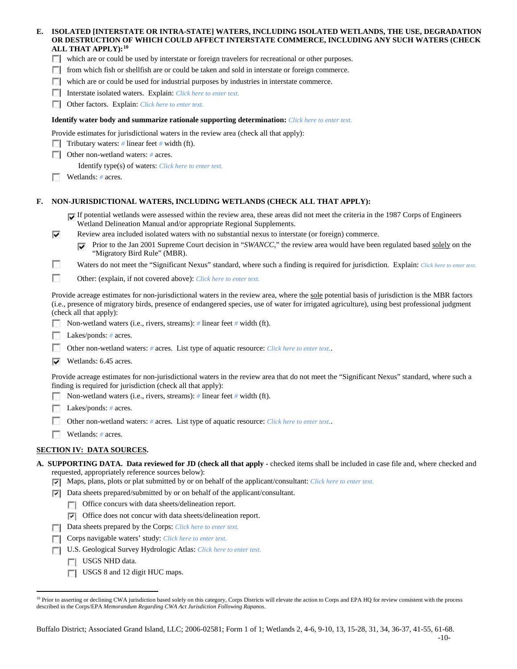| ISOLATED [INTERSTATE OR INTRA-STATE] WATERS, INCLUDING ISOLATED WETLANDS, THE USE, DEGRADATION<br>E.<br>OR DESTRUCTION OF WHICH COULD AFFECT INTERSTATE COMMERCE, INCLUDING ANY SUCH WATERS (CHECK<br>ALL THAT APPLY): <sup>10</sup> |                          |                                                                                                                                                                                                                                                                                                                           |  |
|--------------------------------------------------------------------------------------------------------------------------------------------------------------------------------------------------------------------------------------|--------------------------|---------------------------------------------------------------------------------------------------------------------------------------------------------------------------------------------------------------------------------------------------------------------------------------------------------------------------|--|
| which are or could be used by interstate or foreign travelers for recreational or other purposes.                                                                                                                                    |                          |                                                                                                                                                                                                                                                                                                                           |  |
|                                                                                                                                                                                                                                      |                          | from which fish or shellfish are or could be taken and sold in interstate or foreign commerce.                                                                                                                                                                                                                            |  |
|                                                                                                                                                                                                                                      | $\sim$                   | which are or could be used for industrial purposes by industries in interstate commerce.                                                                                                                                                                                                                                  |  |
|                                                                                                                                                                                                                                      |                          | Interstate isolated waters. Explain: Click here to enter text.                                                                                                                                                                                                                                                            |  |
|                                                                                                                                                                                                                                      |                          | Other factors. Explain: Click here to enter text.                                                                                                                                                                                                                                                                         |  |
|                                                                                                                                                                                                                                      |                          | <b>Identify water body and summarize rationale supporting determination:</b> Click here to enter text.                                                                                                                                                                                                                    |  |
|                                                                                                                                                                                                                                      |                          | Provide estimates for jurisdictional waters in the review area (check all that apply):                                                                                                                                                                                                                                    |  |
|                                                                                                                                                                                                                                      |                          | Tributary waters: $\#$ linear feet $\#$ width (ft).                                                                                                                                                                                                                                                                       |  |
|                                                                                                                                                                                                                                      |                          | Other non-wetland waters: # acres.                                                                                                                                                                                                                                                                                        |  |
|                                                                                                                                                                                                                                      |                          | Identify type(s) of waters: Click here to enter text.                                                                                                                                                                                                                                                                     |  |
|                                                                                                                                                                                                                                      |                          | Wetlands: # acres.                                                                                                                                                                                                                                                                                                        |  |
| F.                                                                                                                                                                                                                                   |                          | NON-JURISDICTIONAL WATERS, INCLUDING WETLANDS (CHECK ALL THAT APPLY):                                                                                                                                                                                                                                                     |  |
|                                                                                                                                                                                                                                      |                          | If potential wetlands were assessed within the review area, these areas did not meet the criteria in the 1987 Corps of Engineers<br>Wetland Delineation Manual and/or appropriate Regional Supplements.                                                                                                                   |  |
|                                                                                                                                                                                                                                      | ⊽                        | Review area included isolated waters with no substantial nexus to interstate (or foreign) commerce.                                                                                                                                                                                                                       |  |
|                                                                                                                                                                                                                                      |                          | Prior to the Jan 2001 Supreme Court decision in "SWANCC," the review area would have been regulated based solely on the<br>"Migratory Bird Rule" (MBR).                                                                                                                                                                   |  |
|                                                                                                                                                                                                                                      | П                        | Waters do not meet the "Significant Nexus" standard, where such a finding is required for jurisdiction. Explain: Click here to enter text.                                                                                                                                                                                |  |
|                                                                                                                                                                                                                                      | $\overline{\phantom{a}}$ | Other: (explain, if not covered above): Click here to enter text.                                                                                                                                                                                                                                                         |  |
|                                                                                                                                                                                                                                      |                          | Provide acreage estimates for non-jurisdictional waters in the review area, where the sole potential basis of jurisdiction is the MBR factors<br>(i.e., presence of migratory birds, presence of endangered species, use of water for irrigated agriculture), using best professional judgment<br>(check all that apply): |  |
|                                                                                                                                                                                                                                      |                          | Non-wetland waters (i.e., rivers, streams): $\#$ linear feet $\#$ width (ft).                                                                                                                                                                                                                                             |  |
|                                                                                                                                                                                                                                      |                          | Lakes/ponds: # acres.                                                                                                                                                                                                                                                                                                     |  |
|                                                                                                                                                                                                                                      |                          | Other non-wetland waters: # acres. List type of aquatic resource: Click here to enter text                                                                                                                                                                                                                                |  |
|                                                                                                                                                                                                                                      | ⊽                        | Wetlands: 6.45 acres.                                                                                                                                                                                                                                                                                                     |  |
|                                                                                                                                                                                                                                      |                          | Provide acreage estimates for non-jurisdictional waters in the review area that do not meet the "Significant Nexus" standard, where such a<br>finding is required for jurisdiction (check all that apply):                                                                                                                |  |
|                                                                                                                                                                                                                                      |                          | Non-wetland waters (i.e., rivers, streams): $\#$ linear feet $\#$ width (ft).                                                                                                                                                                                                                                             |  |
|                                                                                                                                                                                                                                      |                          | Lakes/ponds: # acres.                                                                                                                                                                                                                                                                                                     |  |
|                                                                                                                                                                                                                                      |                          | Other non-wetland waters: # acres. List type of aquatic resource: Click here to enter text                                                                                                                                                                                                                                |  |
|                                                                                                                                                                                                                                      |                          | Wetlands: # acres.                                                                                                                                                                                                                                                                                                        |  |
|                                                                                                                                                                                                                                      |                          | <b>SECTION IV: DATA SOURCES.</b>                                                                                                                                                                                                                                                                                          |  |
|                                                                                                                                                                                                                                      | ⊽                        | A. SUPPORTING DATA. Data reviewed for JD (check all that apply - checked items shall be included in case file and, where checked and<br>requested, appropriately reference sources below):<br>Maps, plans, plots or plat submitted by or on behalf of the applicant/consultant: Click here to enter text.                 |  |
|                                                                                                                                                                                                                                      | ⊽                        | Data sheets prepared/submitted by or on behalf of the applicant/consultant.                                                                                                                                                                                                                                               |  |
|                                                                                                                                                                                                                                      |                          | Office concurs with data sheets/delineation report.                                                                                                                                                                                                                                                                       |  |
|                                                                                                                                                                                                                                      |                          | Office does not concur with data sheets/delineation report.<br>V.                                                                                                                                                                                                                                                         |  |
|                                                                                                                                                                                                                                      |                          | Data sheets prepared by the Corps: Click here to enter text.                                                                                                                                                                                                                                                              |  |
|                                                                                                                                                                                                                                      |                          | Corps navigable waters' study: Click here to enter text.                                                                                                                                                                                                                                                                  |  |
|                                                                                                                                                                                                                                      |                          |                                                                                                                                                                                                                                                                                                                           |  |

- U.S. Geological Survey Hydrologic Atlas: *Click here to enter text.*
	- USGS NHD data.
	- USGS 8 and 12 digit HUC maps.

<span id="page-9-0"></span><sup>10</sup> Prior to asserting or declining CWA jurisdiction based solely on this category, Corps Districts will elevate the action to Corps and EPA HQ for review consistent with the process described in the Corps/EPA *Memorandum Regarding CWA Act Jurisdiction Following Rapanos.*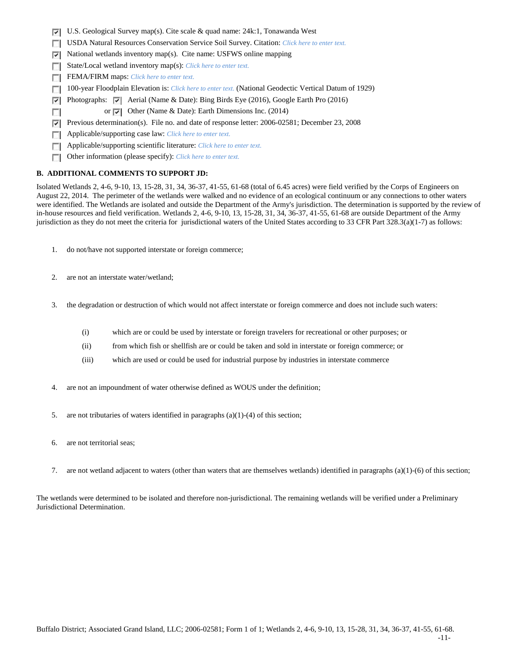- U.S. Geological Survey map(s). Cite scale & quad name: 24k:1, Tonawanda West
- USDA Natural Resources Conservation Service Soil Survey. Citation: *Click here to enter text.*
- $\triangleright$  National wetlands inventory map(s). Cite name: USFWS online mapping
- State/Local wetland inventory map(s): *Click here to enter text.*
- FEMA/FIRM maps: *Click here to enter text.*
- 100-year Floodplain Elevation is: *Click here to enter text.* (National Geodectic Vertical Datum of 1929)  $\overline{a}$
- Photographs:  $\triangledown$  Aerial (Name & Date): Bing Birds Eye (2016), Google Earth Pro (2016) ⊡
- or  $\overline{\triangledown}$  Other (Name & Date): Earth Dimensions Inc. (2014) п
- **Previous determination(s).** File no. and date of response letter: 2006-02581; December 23, 2008
- Applicable/supporting case law: *Click here to enter text.* n.
- Applicable/supporting scientific literature: *Click here to enter text.*  $\overline{a}$
- Other information (please specify): *Click here to enter text.* п

## **B. ADDITIONAL COMMENTS TO SUPPORT JD:**

Isolated Wetlands 2, 4-6, 9-10, 13, 15-28, 31, 34, 36-37, 41-55, 61-68 (total of 6.45 acres) were field verified by the Corps of Engineers on August 22, 2014. The perimeter of the wetlands were walked and no evidence of an ecological continuum or any connections to other waters were identified. The Wetlands are isolated and outside the Department of the Army's jurisdiction. The determination is supported by the review of in-house resources and field verification. Wetlands 2, 4-6, 9-10, 13, 15-28, 31, 34, 36-37, 41-55, 61-68 are outside Department of the Army jurisdiction as they do not meet the criteria for jurisdictional waters of the United States according to 33 CFR Part 328.3(a)(1-7) as follows:

- 1. do not/have not supported interstate or foreign commerce;
- 2. are not an interstate water/wetland;
- 3. the degradation or destruction of which would not affect interstate or foreign commerce and does not include such waters:
	- (i) which are or could be used by interstate or foreign travelers for recreational or other purposes; or
	- (ii) from which fish or shellfish are or could be taken and sold in interstate or foreign commerce; or
	- (iii) which are used or could be used for industrial purpose by industries in interstate commerce
- 4. are not an impoundment of water otherwise defined as WOUS under the definition;
- 5. are not tributaries of waters identified in paragraphs (a)(1)-(4) of this section;
- 6. are not territorial seas;
- 7. are not wetland adjacent to waters (other than waters that are themselves wetlands) identified in paragraphs (a)(1)-(6) of this section;

The wetlands were determined to be isolated and therefore non-jurisdictional. The remaining wetlands will be verified under a Preliminary Jurisdictional Determination.